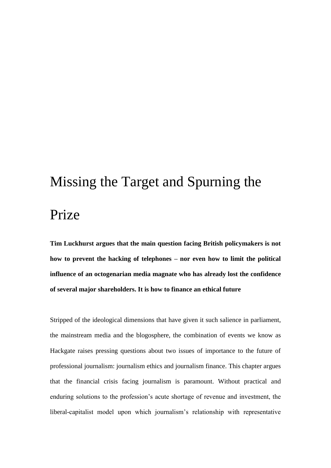# Missing the Target and Spurning the Prize

**Tim Luckhurst argues that the main question facing British policymakers is not how to prevent the hacking of telephones – nor even how to limit the political influence of an octogenarian media magnate who has already lost the confidence of several major shareholders. It is how to finance an ethical future**

Stripped of the ideological dimensions that have given it such salience in parliament, the mainstream media and the blogosphere, the combination of events we know as Hackgate raises pressing questions about two issues of importance to the future of professional journalism: journalism ethics and journalism finance. This chapter argues that the financial crisis facing journalism is paramount. Without practical and enduring solutions to the profession's acute shortage of revenue and investment, the liberal-capitalist model upon which journalism's relationship with representative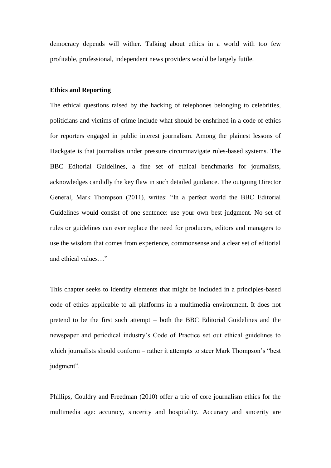democracy depends will wither. Talking about ethics in a world with too few profitable, professional, independent news providers would be largely futile.

## **Ethics and Reporting**

The ethical questions raised by the hacking of telephones belonging to celebrities, politicians and victims of crime include what should be enshrined in a code of ethics for reporters engaged in public interest journalism. Among the plainest lessons of Hackgate is that journalists under pressure circumnavigate rules-based systems. The BBC Editorial Guidelines, a fine set of ethical benchmarks for journalists, acknowledges candidly the key flaw in such detailed guidance. The outgoing Director General, Mark Thompson (2011), writes: "In a perfect world the BBC Editorial Guidelines would consist of one sentence: use your own best judgment. No set of rules or guidelines can ever replace the need for producers, editors and managers to use the wisdom that comes from experience, commonsense and a clear set of editorial and ethical values…"

This chapter seeks to identify elements that might be included in a principles-based code of ethics applicable to all platforms in a multimedia environment. It does not pretend to be the first such attempt – both the BBC Editorial Guidelines and the newspaper and periodical industry's Code of Practice set out ethical guidelines to which journalists should conform – rather it attempts to steer Mark Thompson's "best" judgment".

Phillips, Couldry and Freedman (2010) offer a trio of core journalism ethics for the multimedia age: accuracy, sincerity and hospitality. Accuracy and sincerity are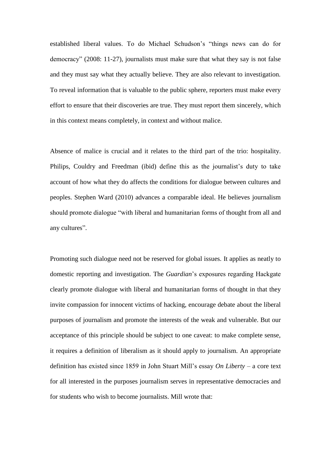established liberal values. To do Michael Schudson's "things news can do for democracy" (2008: 11-27), journalists must make sure that what they say is not false and they must say what they actually believe. They are also relevant to investigation. To reveal information that is valuable to the public sphere, reporters must make every effort to ensure that their discoveries are true. They must report them sincerely, which in this context means completely, in context and without malice.

Absence of malice is crucial and it relates to the third part of the trio: hospitality. Philips, Couldry and Freedman (ibid) define this as the journalist's duty to take account of how what they do affects the conditions for dialogue between cultures and peoples. Stephen Ward (2010) advances a comparable ideal. He believes journalism should promote dialogue "with liberal and humanitarian forms of thought from all and any cultures".

Promoting such dialogue need not be reserved for global issues. It applies as neatly to domestic reporting and investigation. The *Guardian*'s exposures regarding Hackgate clearly promote dialogue with liberal and humanitarian forms of thought in that they invite compassion for innocent victims of hacking, encourage debate about the liberal purposes of journalism and promote the interests of the weak and vulnerable. But our acceptance of this principle should be subject to one caveat: to make complete sense, it requires a definition of liberalism as it should apply to journalism. An appropriate definition has existed since 1859 in John Stuart Mill's essay *On Liberty* – a core text for all interested in the purposes journalism serves in representative democracies and for students who wish to become journalists. Mill wrote that: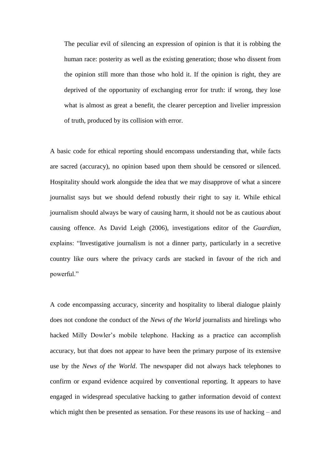The peculiar evil of silencing an expression of opinion is that it is robbing the human race: posterity as well as the existing generation; those who dissent from the opinion still more than those who hold it. If the opinion is right, they are deprived of the opportunity of exchanging error for truth: if wrong, they lose what is almost as great a benefit, the clearer perception and livelier impression of truth, produced by its collision with error.

A basic code for ethical reporting should encompass understanding that, while facts are sacred (accuracy), no opinion based upon them should be censored or silenced. Hospitality should work alongside the idea that we may disapprove of what a sincere journalist says but we should defend robustly their right to say it. While ethical journalism should always be wary of causing harm, it should not be as cautious about causing offence. As David Leigh (2006), investigations editor of the *Guardian*, explains: "Investigative journalism is not a dinner party, particularly in a secretive country like ours where the privacy cards are stacked in favour of the rich and powerful."

A code encompassing accuracy, sincerity and hospitality to liberal dialogue plainly does not condone the conduct of the *News of the World* journalists and hirelings who hacked Milly Dowler's mobile telephone. Hacking as a practice can accomplish accuracy, but that does not appear to have been the primary purpose of its extensive use by the *News of the World*. The newspaper did not always hack telephones to confirm or expand evidence acquired by conventional reporting. It appears to have engaged in widespread speculative hacking to gather information devoid of context which might then be presented as sensation. For these reasons its use of hacking – and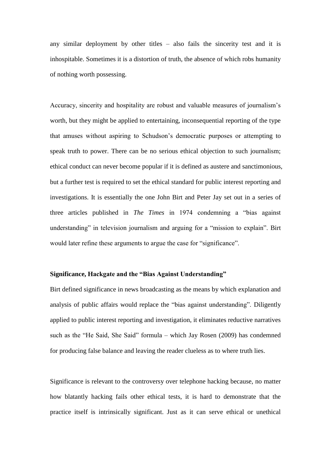any similar deployment by other titles – also fails the sincerity test and it is inhospitable. Sometimes it is a distortion of truth, the absence of which robs humanity of nothing worth possessing.

Accuracy, sincerity and hospitality are robust and valuable measures of journalism's worth, but they might be applied to entertaining, inconsequential reporting of the type that amuses without aspiring to Schudson's democratic purposes or attempting to speak truth to power. There can be no serious ethical objection to such journalism; ethical conduct can never become popular if it is defined as austere and sanctimonious, but a further test is required to set the ethical standard for public interest reporting and investigations. It is essentially the one John Birt and Peter Jay set out in a series of three articles published in *The Times* in 1974 condemning a "bias against understanding" in television journalism and arguing for a "mission to explain". Birt would later refine these arguments to argue the case for "significance".

## **Significance, Hackgate and the "Bias Against Understanding"**

Birt defined significance in news broadcasting as the means by which explanation and analysis of public affairs would replace the "bias against understanding". Diligently applied to public interest reporting and investigation, it eliminates reductive narratives such as the "He Said, She Said" formula – which Jay Rosen (2009) has condemned for producing false balance and leaving the reader clueless as to where truth lies.

Significance is relevant to the controversy over telephone hacking because, no matter how blatantly hacking fails other ethical tests, it is hard to demonstrate that the practice itself is intrinsically significant. Just as it can serve ethical or unethical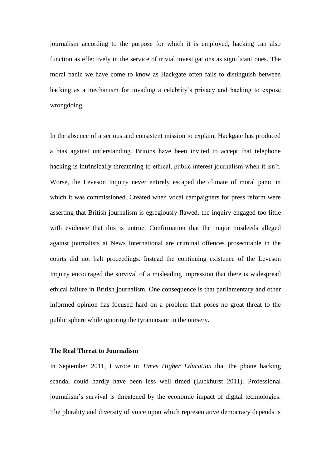journalism according to the purpose for which it is employed, hacking can also function as effectively in the service of trivial investigations as significant ones. The moral panic we have come to know as Hackgate often fails to distinguish between hacking as a mechanism for invading a celebrity's privacy and hacking to expose wrongdoing.

In the absence of a serious and consistent mission to explain, Hackgate has produced a bias against understanding. Britons have been invited to accept that telephone hacking is intrinsically threatening to ethical, public interest journalism when it isn't. Worse, the Leveson Inquiry never entirely escaped the climate of moral panic in which it was commissioned. Created when vocal campaigners for press reform were asserting that British journalism is egregiously flawed, the inquiry engaged too little with evidence that this is untrue. Confirmation that the major misdeeds alleged against journalists at News International are criminal offences prosecutable in the courts did not halt proceedings. Instead the continuing existence of the Leveson Inquiry encouraged the survival of a misleading impression that there is widespread ethical failure in British journalism. One consequence is that parliamentary and other informed opinion has focused hard on a problem that poses no great threat to the public sphere while ignoring the tyrannosaur in the nursery.

## **The Real Threat to Journalism**

In September 2011, I wrote in *Times Higher Education* that the phone hacking scandal could hardly have been less well timed (Luckhurst 2011). Professional journalism's survival is threatened by the economic impact of digital technologies. The plurality and diversity of voice upon which representative democracy depends is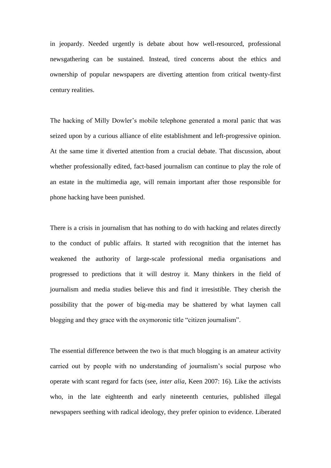in jeopardy. Needed urgently is debate about how well-resourced, professional newsgathering can be sustained. Instead, tired concerns about the ethics and ownership of popular newspapers are diverting attention from critical twenty-first century realities.

The hacking of Milly Dowler's mobile telephone generated a moral panic that was seized upon by a curious alliance of elite establishment and left-progressive opinion. At the same time it diverted attention from a crucial debate. That discussion, about whether professionally edited, fact-based journalism can continue to play the role of an estate in the multimedia age, will remain important after those responsible for phone hacking have been punished.

There is a crisis in journalism that has nothing to do with hacking and relates directly to the conduct of public affairs. It started with recognition that the internet has weakened the authority of large-scale professional media organisations and progressed to predictions that it will destroy it. Many thinkers in the field of journalism and media studies believe this and find it irresistible. They cherish the possibility that the power of big-media may be shattered by what laymen call blogging and they grace with the oxymoronic title "citizen journalism".

The essential difference between the two is that much blogging is an amateur activity carried out by people with no understanding of journalism's social purpose who operate with scant regard for facts (see, *inter alia*, Keen 2007: 16). Like the activists who, in the late eighteenth and early nineteenth centuries, published illegal newspapers seething with radical ideology, they prefer opinion to evidence. Liberated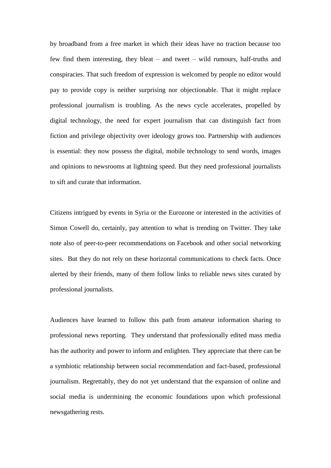by broadband from a free market in which their ideas have no traction because too few find them interesting, they bleat – and tweet – wild rumours, half-truths and conspiracies. That such freedom of expression is welcomed by people no editor would pay to provide copy is neither surprising nor objectionable. That it might replace professional journalism is troubling. As the news cycle accelerates, propelled by digital technology, the need for expert journalism that can distinguish fact from fiction and privilege objectivity over ideology grows too. Partnership with audiences is essential: they now possess the digital, mobile technology to send words, images and opinions to newsrooms at lightning speed. But they need professional journalists to sift and curate that information.

Citizens intrigued by events in Syria or the Eurozone or interested in the activities of Simon Cowell do, certainly, pay attention to what is trending on Twitter. They take note also of peer-to-peer recommendations on Facebook and other social networking sites. But they do not rely on these horizontal communications to check facts. Once alerted by their friends, many of them follow links to reliable news sites curated by professional journalists.

Audiences have learned to follow this path from amateur information sharing to professional news reporting. They understand that professionally edited mass media has the authority and power to inform and enlighten. They appreciate that there can be a symbiotic relationship between social recommendation and fact-based, professional journalism. Regrettably, they do not yet understand that the expansion of online and social media is undermining the economic foundations upon which professional newsgathering rests.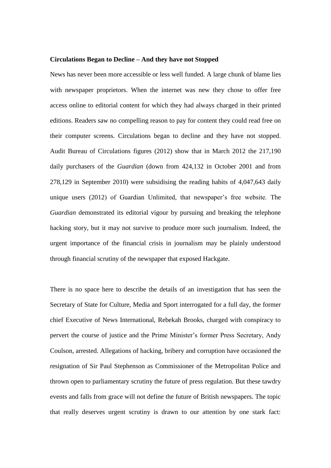#### **Circulations Began to Decline – And they have not Stopped**

News has never been more accessible or less well funded. A large chunk of blame lies with newspaper proprietors. When the internet was new they chose to offer free access online to editorial content for which they had always charged in their printed editions. Readers saw no compelling reason to pay for content they could read free on their computer screens. Circulations began to decline and they have not stopped. Audit Bureau of Circulations figures (2012) show that in March 2012 the 217,190 daily purchasers of the *Guardian* (down from 424,132 in October 2001 and from 278,129 in September 2010) were subsidising the reading habits of 4,047,643 daily unique users (2012) of Guardian Unlimited, that newspaper's free website. The *Guardian* demonstrated its editorial vigour by pursuing and breaking the telephone hacking story, but it may not survive to produce more such journalism. Indeed, the urgent importance of the financial crisis in journalism may be plainly understood through financial scrutiny of the newspaper that exposed Hackgate.

There is no space here to describe the details of an investigation that has seen the Secretary of State for Culture, Media and Sport interrogated for a full day, the former chief Executive of News International, Rebekah Brooks, charged with conspiracy to pervert the course of justice and the Prime Minister's former Press Secretary, Andy Coulson, arrested. Allegations of hacking, bribery and corruption have occasioned the resignation of Sir Paul Stephenson as Commissioner of the Metropolitan Police and thrown open to parliamentary scrutiny the future of press regulation. But these tawdry events and falls from grace will not define the future of British newspapers. The topic that really deserves urgent scrutiny is drawn to our attention by one stark fact: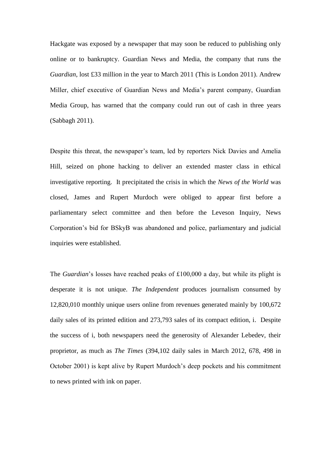Hackgate was exposed by a newspaper that may soon be reduced to publishing only online or to bankruptcy. Guardian News and Media, the company that runs the *Guardian*, lost £33 million in the year to March 2011 (This is London 2011). Andrew Miller, chief executive of Guardian News and Media's parent company, Guardian Media Group, has warned that the company could run out of cash in three years (Sabbagh 2011).

Despite this threat, the newspaper's team, led by reporters Nick Davies and Amelia Hill, seized on phone hacking to deliver an extended master class in ethical investigative reporting. It precipitated the crisis in which the *News of the World* was closed, James and Rupert Murdoch were obliged to appear first before a parliamentary select committee and then before the Leveson Inquiry, News Corporation's bid for BSkyB was abandoned and police, parliamentary and judicial inquiries were established.

The *Guardian*'s losses have reached peaks of £100,000 a day, but while its plight is desperate it is not unique. *The Independent* produces journalism consumed by 12,820,010 monthly unique users online from revenues generated mainly by 100,672 daily sales of its printed edition and 273,793 sales of its compact edition, i. Despite the success of i, both newspapers need the generosity of Alexander Lebedev, their proprietor, as much as *The Times* (394,102 daily sales in March 2012, 678, 498 in October 2001) is kept alive by Rupert Murdoch's deep pockets and his commitment to news printed with ink on paper.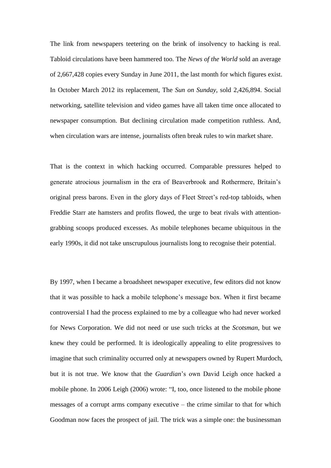The link from newspapers teetering on the brink of insolvency to hacking is real. Tabloid circulations have been hammered too. The *News of the World* sold an average of 2,667,428 copies every Sunday in June 2011, the last month for which figures exist. In October March 2012 its replacement, The *Sun on Sunday*, sold 2,426,894. Social networking, satellite television and video games have all taken time once allocated to newspaper consumption. But declining circulation made competition ruthless. And, when circulation wars are intense, journalists often break rules to win market share.

That is the context in which hacking occurred. Comparable pressures helped to generate atrocious journalism in the era of Beaverbrook and Rothermere, Britain's original press barons. Even in the glory days of Fleet Street's red-top tabloids, when Freddie Starr ate hamsters and profits flowed, the urge to beat rivals with attentiongrabbing scoops produced excesses. As mobile telephones became ubiquitous in the early 1990s, it did not take unscrupulous journalists long to recognise their potential.

By 1997, when I became a broadsheet newspaper executive, few editors did not know that it was possible to hack a mobile telephone's message box. When it first became controversial I had the process explained to me by a colleague who had never worked for News Corporation. We did not need or use such tricks at the *Scotsman*, but we knew they could be performed. It is ideologically appealing to elite progressives to imagine that such criminality occurred only at newspapers owned by Rupert Murdoch, but it is not true. We know that the *Guardian*'s own David Leigh once hacked a mobile phone. In 2006 Leigh (2006) wrote: "I, too, once listened to the mobile phone messages of a corrupt arms company executive – the crime similar to that for which Goodman now faces the prospect of jail. The trick was a simple one: the businessman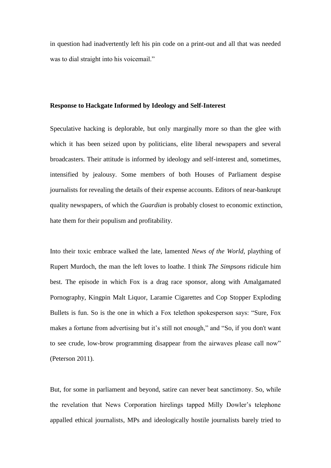in question had inadvertently left his pin code on a print-out and all that was needed was to dial straight into his voicemail."

#### **Response to Hackgate Informed by Ideology and Self-Interest**

Speculative hacking is deplorable, but only marginally more so than the glee with which it has been seized upon by politicians, elite liberal newspapers and several broadcasters. Their attitude is informed by ideology and self-interest and, sometimes, intensified by jealousy. Some members of both Houses of Parliament despise journalists for revealing the details of their expense accounts. Editors of near-bankrupt quality newspapers, of which the *Guardian* is probably closest to economic extinction, hate them for their populism and profitability.

Into their toxic embrace walked the late, lamented *News of the World*, plaything of Rupert Murdoch, the man the left loves to loathe. I think *The Simpsons* ridicule him best. The episode in which Fox is a drag race sponsor, along with Amalgamated Pornography, Kingpin Malt Liquor, Laramie Cigarettes and Cop Stopper Exploding Bullets is fun. So is the one in which a Fox telethon spokesperson says: "Sure, Fox makes a fortune from advertising but it's still not enough," and "So, if you don't want to see crude, low-brow programming disappear from the airwaves please call now" (Peterson 2011).

But, for some in parliament and beyond, satire can never beat sanctimony. So, while the revelation that News Corporation hirelings tapped Milly Dowler's telephone appalled ethical journalists, MPs and ideologically hostile journalists barely tried to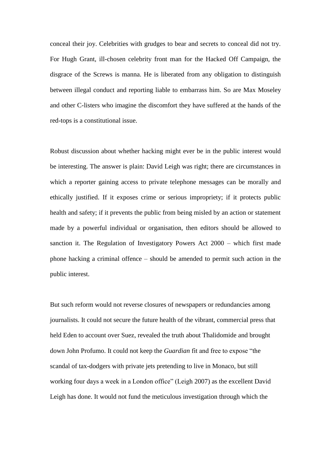conceal their joy. Celebrities with grudges to bear and secrets to conceal did not try. For Hugh Grant, ill-chosen celebrity front man for the Hacked Off Campaign, the disgrace of the Screws is manna. He is liberated from any obligation to distinguish between illegal conduct and reporting liable to embarrass him. So are Max Moseley and other C-listers who imagine the discomfort they have suffered at the hands of the red-tops is a constitutional issue.

Robust discussion about whether hacking might ever be in the public interest would be interesting. The answer is plain: David Leigh was right; there are circumstances in which a reporter gaining access to private telephone messages can be morally and ethically justified. If it exposes crime or serious impropriety; if it protects public health and safety; if it prevents the public from being misled by an action or statement made by a powerful individual or organisation, then editors should be allowed to sanction it. The Regulation of Investigatory Powers Act 2000 – which first made phone hacking a criminal offence – should be amended to permit such action in the public interest.

But such reform would not reverse closures of newspapers or redundancies among journalists. It could not secure the future health of the vibrant, commercial press that held Eden to account over Suez, revealed the truth about Thalidomide and brought down John Profumo. It could not keep the *Guardian* fit and free to expose "the scandal of tax-dodgers with private jets pretending to live in Monaco, but still working four days a week in a London office" (Leigh 2007) as the excellent David Leigh has done. It would not fund the meticulous investigation through which the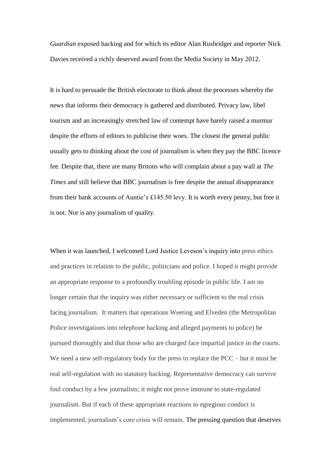*Guardian* exposed hacking and for which its editor Alan Rusbridger and reporter Nick Davies received a richly deserved award from the Media Society in May 2012.

It is hard to persuade the British electorate to think about the processes whereby the news that informs their democracy is gathered and distributed. Privacy law, libel tourism and an increasingly stretched law of contempt have barely raised a murmur despite the efforts of editors to publicise their woes. The closest the general public usually gets to thinking about the cost of journalism is when they pay the BBC licence fee. Despite that, there are many Britons who will complain about a pay wall at *The Times* and still believe that BBC journalism is free despite the annual disappearance from their bank accounts of Auntie's £145.50 levy. It is worth every penny, but free it is not. Nor is any journalism of quality.

When it was launched, I welcomed Lord Justice Leveson's inquiry into press ethics and practices in relation to the public, politicians and police. I hoped it might provide an appropriate response to a profoundly troubling episode in public life. I am no longer certain that the inquiry was either necessary or sufficient to the real crisis facing journalism. It matters that operations Weeting and Elveden (the Metropolitan Police investigations into telephone hacking and alleged payments to police) be pursued thoroughly and that those who are charged face impartial justice in the courts. We need a new self-regulatory body for the press to replace the PCC – but it must be real self-regulation with no statutory backing. Representative democracy can survive foul conduct by a few journalists; it might not prove immune to state-regulated journalism. But if each of these appropriate reactions to egregious conduct is implemented, journalism's core crisis will remain. The pressing question that deserves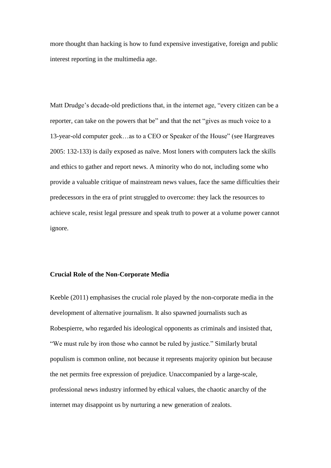more thought than hacking is how to fund expensive investigative, foreign and public interest reporting in the multimedia age.

Matt Drudge's decade-old predictions that, in the internet age, "every citizen can be a reporter, can take on the powers that be" and that the net "gives as much voice to a 13-year-old computer geek…as to a CEO or Speaker of the House" (see Hargreaves 2005: 132-133) is daily exposed as naïve. Most loners with computers lack the skills and ethics to gather and report news. A minority who do not, including some who provide a valuable critique of mainstream news values, face the same difficulties their predecessors in the era of print struggled to overcome: they lack the resources to achieve scale, resist legal pressure and speak truth to power at a volume power cannot ignore.

## **Crucial Role of the Non-Corporate Media**

Keeble (2011) emphasises the crucial role played by the non-corporate media in the development of alternative journalism. It also spawned journalists such as Robespierre, who regarded his ideological opponents as criminals and insisted that, "We must rule by iron those who cannot be ruled by justice." Similarly brutal populism is common online, not because it represents majority opinion but because the net permits free expression of prejudice. Unaccompanied by a large-scale, professional news industry informed by ethical values, the chaotic anarchy of the internet may disappoint us by nurturing a new generation of zealots.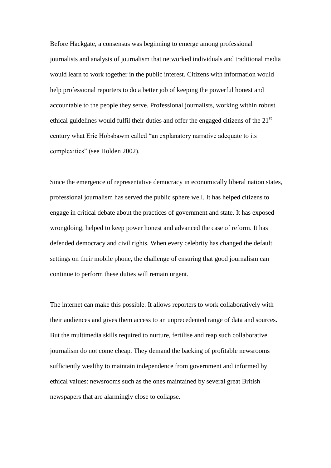Before Hackgate, a consensus was beginning to emerge among professional journalists and analysts of journalism that networked individuals and traditional media would learn to work together in the public interest. Citizens with information would help professional reporters to do a better job of keeping the powerful honest and accountable to the people they serve. Professional journalists, working within robust ethical guidelines would fulfil their duties and offer the engaged citizens of the  $21<sup>st</sup>$ century what Eric Hobsbawm called "an explanatory narrative adequate to its complexities" (see Holden 2002).

Since the emergence of representative democracy in economically liberal nation states, professional journalism has served the public sphere well. It has helped citizens to engage in critical debate about the practices of government and state. It has exposed wrongdoing, helped to keep power honest and advanced the case of reform. It has defended democracy and civil rights. When every celebrity has changed the default settings on their mobile phone, the challenge of ensuring that good journalism can continue to perform these duties will remain urgent.

The internet can make this possible. It allows reporters to work collaboratively with their audiences and gives them access to an unprecedented range of data and sources. But the multimedia skills required to nurture, fertilise and reap such collaborative journalism do not come cheap. They demand the backing of profitable newsrooms sufficiently wealthy to maintain independence from government and informed by ethical values: newsrooms such as the ones maintained by several great British newspapers that are alarmingly close to collapse.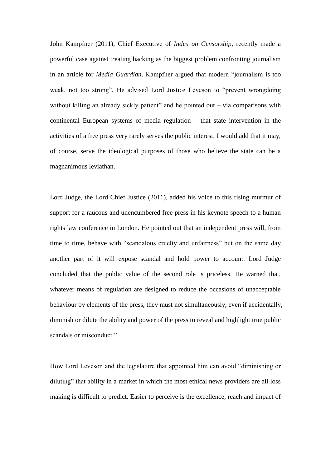John Kampfner (2011), Chief Executive of *Index on Censorship*, recently made a powerful case against treating hacking as the biggest problem confronting journalism in an article for *Media Guardian*. Kampfner argued that modern "journalism is too weak, not too strong". He advised Lord Justice Leveson to "prevent wrongdoing without killing an already sickly patient" and he pointed out – via comparisons with continental European systems of media regulation – that state intervention in the activities of a free press very rarely serves the public interest. I would add that it may, of course, serve the ideological purposes of those who believe the state can be a magnanimous leviathan.

Lord Judge, the Lord Chief Justice (2011), added his voice to this rising murmur of support for a raucous and unencumbered free press in his keynote speech to a human rights law conference in London. He pointed out that an independent press will, from time to time, behave with "scandalous cruelty and unfairness" but on the same day another part of it will expose scandal and hold power to account. Lord Judge concluded that the public value of the second role is priceless. He warned that, whatever means of regulation are designed to reduce the occasions of unacceptable behaviour by elements of the press, they must not simultaneously, even if accidentally, diminish or dilute the ability and power of the press to reveal and highlight true public scandals or misconduct."

How Lord Leveson and the legislature that appointed him can avoid "diminishing or diluting" that ability in a market in which the most ethical news providers are all loss making is difficult to predict. Easier to perceive is the excellence, reach and impact of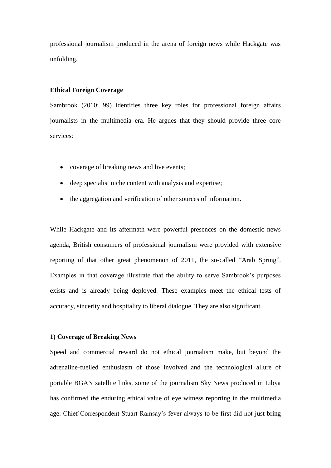professional journalism produced in the arena of foreign news while Hackgate was unfolding.

# **Ethical Foreign Coverage**

Sambrook (2010: 99) identifies three key roles for professional foreign affairs journalists in the multimedia era. He argues that they should provide three core services:

- coverage of breaking news and live events;
- deep specialist niche content with analysis and expertise;
- the aggregation and verification of other sources of information.

While Hackgate and its aftermath were powerful presences on the domestic news agenda, British consumers of professional journalism were provided with extensive reporting of that other great phenomenon of 2011, the so-called "Arab Spring". Examples in that coverage illustrate that the ability to serve Sambrook's purposes exists and is already being deployed. These examples meet the ethical tests of accuracy, sincerity and hospitality to liberal dialogue. They are also significant.

## **1) Coverage of Breaking News**

Speed and commercial reward do not ethical journalism make, but beyond the adrenaline-fuelled enthusiasm of those involved and the technological allure of portable BGAN satellite links, some of the journalism Sky News produced in Libya has confirmed the enduring ethical value of eye witness reporting in the multimedia age. Chief Correspondent Stuart Ramsay's fever always to be first did not just bring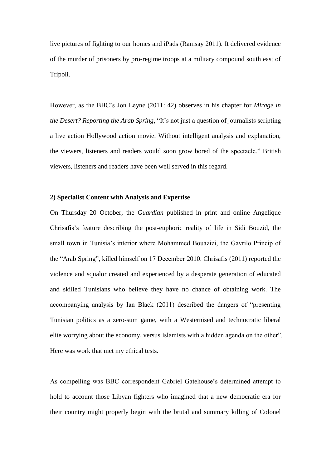live pictures of fighting to our homes and iPads (Ramsay 2011). It delivered evidence of the murder of prisoners by pro-regime troops at a military compound south east of Tripoli.

However, as the BBC's Jon Leyne (2011: 42) observes in his chapter for *Mirage in the Desert? Reporting the Arab Spring*, "It's not just a question of journalists scripting a live action Hollywood action movie. Without intelligent analysis and explanation, the viewers, listeners and readers would soon grow bored of the spectacle." British viewers, listeners and readers have been well served in this regard.

# **2) Specialist Content with Analysis and Expertise**

On Thursday 20 October, the *Guardian* published in print and online Angelique Chrisafis's feature describing the post-euphoric reality of life in Sidi Bouzid, the small town in Tunisia's interior where Mohammed Bouazizi, the Gavrilo Princip of the "Arab Spring", killed himself on 17 December 2010. Chrisafis (2011) reported the violence and squalor created and experienced by a desperate generation of educated and skilled Tunisians who believe they have no chance of obtaining work. The accompanying analysis by Ian Black (2011) described the dangers of "presenting Tunisian politics as a zero-sum game, with a Westernised and technocratic liberal elite worrying about the economy, versus Islamists with a hidden agenda on the other". Here was work that met my ethical tests.

As compelling was BBC correspondent Gabriel Gatehouse's determined attempt to hold to account those Libyan fighters who imagined that a new democratic era for their country might properly begin with the brutal and summary killing of Colonel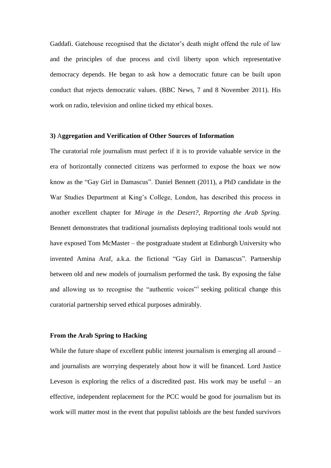Gaddafi. Gatehouse recognised that the dictator's death might offend the rule of law and the principles of due process and civil liberty upon which representative democracy depends. He began to ask how a democratic future can be built upon conduct that rejects democratic values. (BBC News, 7 and 8 November 2011). His work on radio, television and online ticked my ethical boxes.

#### **3)** A**ggregation and Verification of Other Sources of Information**

The curatorial role journalism must perfect if it is to provide valuable service in the era of horizontally connected citizens was performed to expose the hoax we now know as the "Gay Girl in Damascus". Daniel Bennett (2011), a PhD candidate in the War Studies Department at King's College, London, has described this process in another excellent chapter for *Mirage in the Desert?, Reporting the Arab Spring.* Bennett demonstrates that traditional journalists deploying traditional tools would not have exposed Tom McMaster – the postgraduate student at Edinburgh University who invented Amina Araf, a.k.a. the fictional "Gay Girl in Damascus". Partnership between old and new models of journalism performed the task. By exposing the false and allowing us to recognise the "authentic voices" seeking political change this curatorial partnership served ethical purposes admirably.

## **From the Arab Spring to Hacking**

While the future shape of excellent public interest journalism is emerging all around – and journalists are worrying desperately about how it will be financed. Lord Justice Leveson is exploring the relics of a discredited past. His work may be useful – an effective, independent replacement for the PCC would be good for journalism but its work will matter most in the event that populist tabloids are the best funded survivors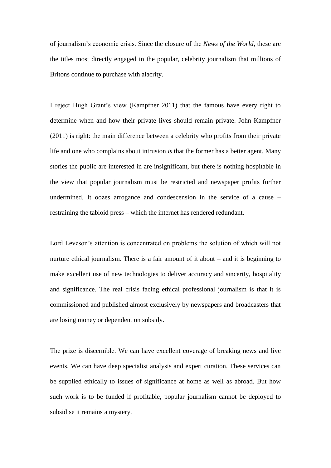of journalism's economic crisis. Since the closure of the *News of the World*, these are the titles most directly engaged in the popular, celebrity journalism that millions of Britons continue to purchase with alacrity.

I reject Hugh Grant's view (Kampfner 2011) that the famous have every right to determine when and how their private lives should remain private. John Kampfner (2011) is right: the main difference between a celebrity who profits from their private life and one who complains about intrusion *is* that the former has a better agent. Many stories the public are interested in are insignificant, but there is nothing hospitable in the view that popular journalism must be restricted and newspaper profits further undermined. It oozes arrogance and condescension in the service of a cause – restraining the tabloid press – which the internet has rendered redundant.

Lord Leveson's attention is concentrated on problems the solution of which will not nurture ethical journalism. There is a fair amount of it about – and it is beginning to make excellent use of new technologies to deliver accuracy and sincerity, hospitality and significance. The real crisis facing ethical professional journalism is that it is commissioned and published almost exclusively by newspapers and broadcasters that are losing money or dependent on subsidy.

The prize is discernible. We can have excellent coverage of breaking news and live events. We can have deep specialist analysis and expert curation. These services can be supplied ethically to issues of significance at home as well as abroad. But how such work is to be funded if profitable, popular journalism cannot be deployed to subsidise it remains a mystery.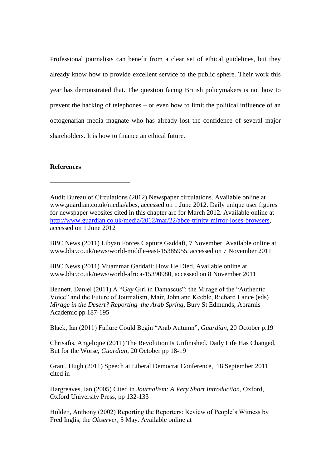Professional journalists can benefit from a clear set of ethical guidelines, but they already know how to provide excellent service to the public sphere. Their work this year has demonstrated that. The question facing British policymakers is not how to prevent the hacking of telephones – or even how to limit the political influence of an octogenarian media magnate who has already lost the confidence of several major shareholders. It is how to finance an ethical future.

## **References**

<u>.</u>

Audit Bureau of Circulations (2012) Newspaper circulations. Available online at [www.guardian.co.uk/media/abcs,](http://www.guardian.co.uk/media/abcs) accessed on 1 June 2012. Daily unique user figures for newspaper websites cited in this chapter are for March 2012. Available online at [http://www.guardian.co.uk/media/2012/mar/22/abce-trinity-mirror-loses-browsers,](http://www.guardian.co.uk/media/2012/mar/22/abce-trinity-mirror-loses-browsers) accessed on 1 June 2012

BBC News (2011) Libyan Forces Capture Gaddafi, 7 November. Available online at [www.bbc.co.uk/news/world-middle-east-15385955](http://www.bbc.co.uk/news/world-middle-east-15385955), accessed on 7 November 2011

BBC News (2011) Muammar Gaddafi: How He Died. Available online at [www.bbc.co.uk/news/world-africa-15390980,](http://www.bbc.co.uk/news/world-africa-15390980) accessed on 8 November 2011

Bennett, Daniel (2011) A "Gay Girl in Damascus": the Mirage of the "Authentic Voice" and the Future of Journalism, Mair, John and Keeble, Richard Lance (eds) *Mirage in the Desert? Reporting the Arab Spring*, Bury St Edmunds, Abramis Academic pp 187-195

Black, Ian (2011) Failure Could Begin "Arab Autumn", *Guardian*, 20 October p.19

Chrisafis, Angelique (2011) The Revolution Is Unfinished. Daily Life Has Changed, But for the Worse, *Guardian*, 20 October pp 18-19

Grant, Hugh (2011) Speech at Liberal Democrat Conference, 18 September 2011 cited in

Hargreaves, Ian (2005) Cited in *Journalism: A Very Short Introduction*, Oxford, Oxford University Press, pp 132-133

Holden, Anthony (2002) Reporting the Reporters: Review of People's Witness by Fred Inglis, the *Observer*, 5 May. Available online at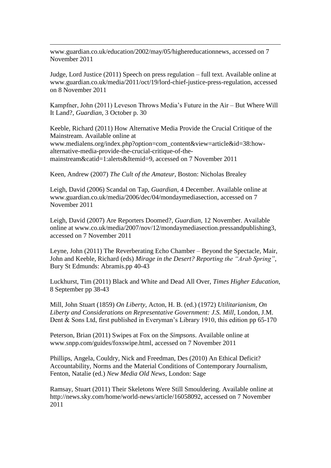[www.guardian.co.uk/education/2002/may/05/highereducationnews,](http://www.guardian.co.uk/education/2002/may/05/highereducationnews) accessed on 7 November 2011

<u>.</u>

Judge, Lord Justice (2011) Speech on press regulation – full text. Available online at [www.guardian.co.uk/media/2011/oct/19/lord-chief-justice-press-regulation,](http://www.guardian.co.uk/media/2011/oct/19/lord-chief-justice-press-regulation) accessed on 8 November 2011

Kampfner, John (2011) Leveson Throws Media's Future in the Air – But Where Will It Land?, *Guardian*, 3 October p. 30

Keeble, Richard (2011) How Alternative Media Provide the Crucial Critique of the Mainstream. Available online at [www.medialens.org/index.php?option=com\\_content&view=article&id=38:how](http://www.medialens.org/index.php?option=com_content&view=article&id=38:how-alternative-media-provide-the-crucial-critique-of-the-mainstream&catid=1:alerts&Itemid=9)[alternative-media-provide-the-crucial-critique-of-the](http://www.medialens.org/index.php?option=com_content&view=article&id=38:how-alternative-media-provide-the-crucial-critique-of-the-mainstream&catid=1:alerts&Itemid=9)[mainstream&catid=1:alerts&Itemid=9,](http://www.medialens.org/index.php?option=com_content&view=article&id=38:how-alternative-media-provide-the-crucial-critique-of-the-mainstream&catid=1:alerts&Itemid=9) accessed on 7 November 2011

Keen, Andrew (2007) *The Cult of the Amateur,* Boston: Nicholas Brealey

Leigh, David (2006) Scandal on Tap, *Guardian*, 4 December. Available online at [www.guardian.co.uk/media/2006/dec/04/mondaymediasection,](http://www.guardian.co.uk/media/2006/dec/04/mondaymediasection) accessed on 7 November 2011

Leigh, David (2007) Are Reporters Doomed?, *Guardian*, 12 November. Available online at [www.co.uk/media/2007/nov/12/mondaymediasection.pressandpublishing3,](http://www.co.uk/media/2007/nov/12/mondaymediasection.pressandpublishing3) accessed on 7 November 2011

Leyne, John (2011) The Reverberating Echo Chamber – Beyond the Spectacle, Mair, John and Keeble, Richard (eds) *Mirage in the Desert? Reporting the "Arab Spring"*, Bury St Edmunds: Abramis.pp 40-43

Luckhurst, Tim (2011) Black and White and Dead All Over, *Times Higher Education*, 8 September pp 38-43

Mill, John Stuart (1859) *On Liberty*, Acton, H. B. (ed.) (1972) *Utilitarianism, On Liberty and Considerations on Representative Government: J.S. Mill*, London, J.M. Dent & Sons Ltd, first published in Everyman's Library 1910, this edition pp 65-170

Peterson, Brian (2011) Swipes at Fox on the *Simpsons*. Available online at [www.snpp.com/guides/foxswipe.html,](http://www.snpp.com/guides/foxswipe.html) accessed on 7 November 2011

Phillips, Angela, Couldry, Nick and Freedman, Des (2010) An Ethical Deficit? Accountability, Norms and the Material Conditions of Contemporary Journalism, Fenton, Natalie (ed.) *New Media Old News*, London: Sage

Ramsay, Stuart (2011) Their Skeletons Were Still Smouldering. Available online at [http://news.sky.com/home/world-news/article/16058092,](http://news.sky.com/home/world-news/article/16058092) accessed on 7 November 2011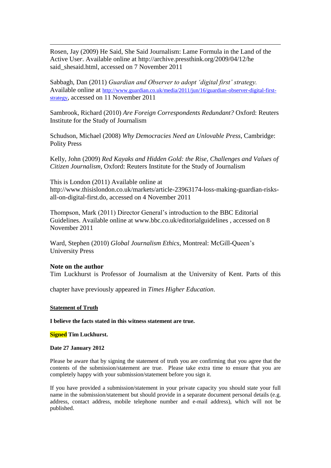Rosen, Jay (2009) He Said, She Said Journalism: Lame Formula in the Land of the Active Use*r*. Available online at [http://archive.pressthink.org/2009/04/12/he](http://archive.pressthink.org/2009/04/12/he%20said_shesaid.html)  [said\\_shesaid.html,](http://archive.pressthink.org/2009/04/12/he%20said_shesaid.html) accessed on 7 November 2011

Sabbagh, Dan (2011) *Guardian and Observer to adopt 'digital first' strategy.*  Available online at [http://www.guardian.co.uk/media/2011/jun/16/guardian-observer-digital-first](http://www.guardian.co.uk/media/2011/jun/16/guardian-observer-digital-first-strategy)[strategy](http://www.guardian.co.uk/media/2011/jun/16/guardian-observer-digital-first-strategy), accessed on 11 November 2011

Sambrook, Richard (2010) *Are Foreign Correspondents Redundant?* Oxford: Reuters Institute for the Study of Journalism

Schudson, Michael (2008) *Why Democracies Need an Unlovable Press*, Cambridge: Polity Press

Kelly, John (2009) *Red Kayaks and Hidden Gold: the Rise, Challenges and Values of Citizen Journalism*, Oxford: Reuters Institute for the Study of Journalism

This is London (2011) Available online at [http://www.thisislondon.co.uk/markets/article-23963174-loss-making-guardian-risks](http://www.thisislondon.co.uk/markets/article-23963174-loss-making-guardian-risks-all-on-digital-first.do)[all-on-digital-first.do,](http://www.thisislondon.co.uk/markets/article-23963174-loss-making-guardian-risks-all-on-digital-first.do) accessed on 4 November 2011

Thompson, Mark (2011) Director General's introduction to the BBC Editorial Guidelines. Available online at [www.bbc.co.uk/editorialguidelines](http://www.bbc.co.uk/editorialguidelines) , accessed on 8 November 2011

Ward, Stephen (2010) *Global Journalism Ethics*, Montreal: McGill-Queen's University Press

#### **Note on the author**

<u>.</u>

Tim Luckhurst is Professor of Journalism at the University of Kent. Parts of this

chapter have previously appeared in *Times Higher Education*.

#### **Statement of Truth**

**I believe the facts stated in this witness statement are true.**

**Signed Tim Luckhurst.** 

#### **Date 27 January 2012**

Please be aware that by signing the statement of truth you are confirming that you agree that the contents of the submission/statement are true. Please take extra time to ensure that you are completely happy with your submission/statement before you sign it.

If you have provided a submission/statement in your private capacity you should state your full name in the submission/statement but should provide in a separate document personal details (e.g. address, contact address, mobile telephone number and e-mail address), which will not be published.